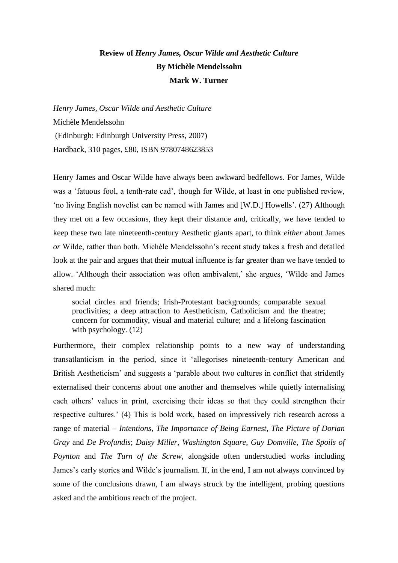## **Review of** *Henry James, Oscar Wilde and Aesthetic Culture* **By Michèle Mendelssohn Mark W. Turner**

*Henry James, Oscar Wilde and Aesthetic Culture* Michèle Mendelssohn (Edinburgh: Edinburgh University Press, 2007) Hardback, 310 pages, £80, ISBN 9780748623853

Henry James and Oscar Wilde have always been awkward bedfellows. For James, Wilde was a 'fatuous fool, a tenth-rate cad', though for Wilde, at least in one published review, 'no living English novelist can be named with James and [W.D.] Howells'. (27) Although they met on a few occasions, they kept their distance and, critically, we have tended to keep these two late nineteenth-century Aesthetic giants apart, to think *either* about James *or* Wilde, rather than both. Michèle Mendelssohn's recent study takes a fresh and detailed look at the pair and argues that their mutual influence is far greater than we have tended to allow. 'Although their association was often ambivalent,' she argues, 'Wilde and James shared much:

social circles and friends; Irish-Protestant backgrounds; comparable sexual proclivities; a deep attraction to Aestheticism, Catholicism and the theatre; concern for commodity, visual and material culture; and a lifelong fascination with psychology. (12)

Furthermore, their complex relationship points to a new way of understanding transatlanticism in the period, since it 'allegorises nineteenth-century American and British Aestheticism' and suggests a 'parable about two cultures in conflict that stridently externalised their concerns about one another and themselves while quietly internalising each others' values in print, exercising their ideas so that they could strengthen their respective cultures.' (4) This is bold work, based on impressively rich research across a range of material – *Intentions*, *The Importance of Being Earnest*, *The Picture of Dorian Gray* and *De Profundis*; *Daisy Miller*, *Washington Square*, *Guy Domville*, *The Spoils of Poynton* and *The Turn of the Screw*, alongside often understudied works including James's early stories and Wilde's journalism. If, in the end, I am not always convinced by some of the conclusions drawn, I am always struck by the intelligent, probing questions asked and the ambitious reach of the project.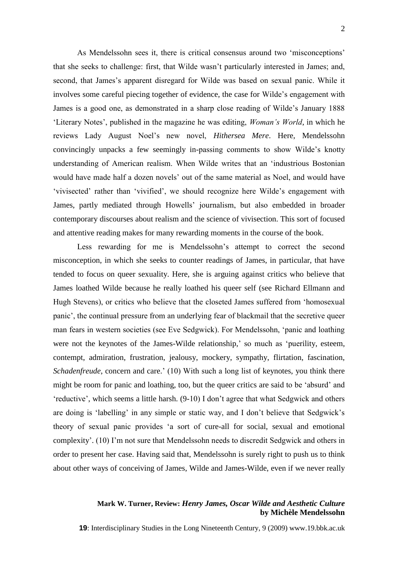As Mendelssohn sees it, there is critical consensus around two 'misconceptions' that she seeks to challenge: first, that Wilde wasn't particularly interested in James; and, second, that James's apparent disregard for Wilde was based on sexual panic. While it involves some careful piecing together of evidence, the case for Wilde's engagement with James is a good one, as demonstrated in a sharp close reading of Wilde's January 1888 'Literary Notes', published in the magazine he was editing, *Woman's World*, in which he reviews Lady August Noel's new novel, *Hithersea Mere*. Here, Mendelssohn convincingly unpacks a few seemingly in-passing comments to show Wilde's knotty understanding of American realism. When Wilde writes that an 'industrious Bostonian would have made half a dozen novels' out of the same material as Noel, and would have 'vivisected' rather than 'vivified', we should recognize here Wilde's engagement with James, partly mediated through Howells' journalism, but also embedded in broader contemporary discourses about realism and the science of vivisection. This sort of focused and attentive reading makes for many rewarding moments in the course of the book.

Less rewarding for me is Mendelssohn's attempt to correct the second misconception, in which she seeks to counter readings of James, in particular, that have tended to focus on queer sexuality. Here, she is arguing against critics who believe that James loathed Wilde because he really loathed his queer self (see Richard Ellmann and Hugh Stevens), or critics who believe that the closeted James suffered from 'homosexual panic', the continual pressure from an underlying fear of blackmail that the secretive queer man fears in western societies (see Eve Sedgwick). For Mendelssohn, 'panic and loathing were not the keynotes of the James-Wilde relationship,' so much as 'puerility, esteem, contempt, admiration, frustration, jealousy, mockery, sympathy, flirtation, fascination, *Schadenfreude*, concern and care.' (10) With such a long list of keynotes, you think there might be room for panic and loathing, too, but the queer critics are said to be 'absurd' and 'reductive', which seems a little harsh. (9-10) I don't agree that what Sedgwick and others are doing is 'labelling' in any simple or static way, and I don't believe that Sedgwick's theory of sexual panic provides 'a sort of cure-all for social, sexual and emotional complexity'. (10) I'm not sure that Mendelssohn needs to discredit Sedgwick and others in order to present her case. Having said that, Mendelssohn is surely right to push us to think about other ways of conceiving of James, Wilde and James-Wilde, even if we never really

## **Mark W. Turner, Review:** *Henry James, Oscar Wilde and Aesthetic Culture* **by Michèle Mendelssohn**

**19**: Interdisciplinary Studies in the Long Nineteenth Century, 9 (2009) www.19.bbk.ac.uk